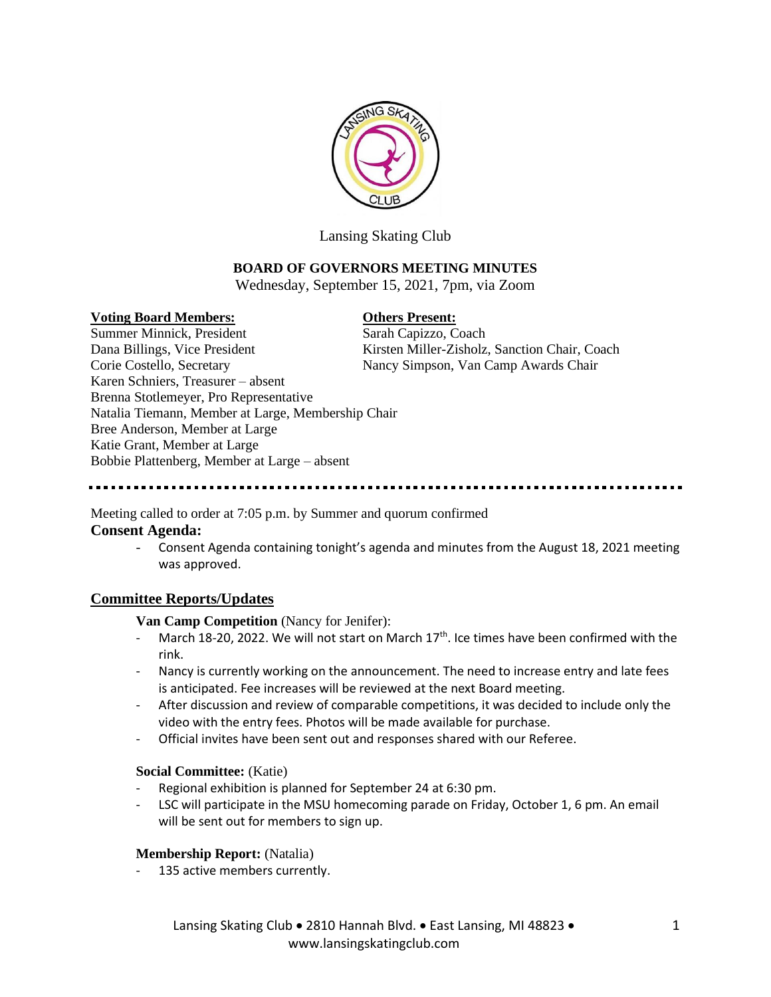

Lansing Skating Club

# **BOARD OF GOVERNORS MEETING MINUTES**

Wednesday, September 15, 2021, 7pm, via Zoom

### **Voting Board Members: Others Present:**

Summer Minnick, President Sarah Capizzo, Coach Dana Billings, Vice President Kirsten Miller-Zisholz, Sanction Chair, Coach Corie Costello, Secretary Nancy Simpson, Van Camp Awards Chair Karen Schniers, Treasurer – absent Brenna Stotlemeyer, Pro Representative Natalia Tiemann, Member at Large, Membership Chair Bree Anderson, Member at Large Katie Grant, Member at Large Bobbie Plattenberg, Member at Large – absent

# Meeting called to order at 7:05 p.m. by Summer and quorum confirmed

# **Consent Agenda:**

- Consent Agenda containing tonight's agenda and minutes from the August 18, 2021 meeting was approved.

# **Committee Reports/Updates**

**Van Camp Competition** (Nancy for Jenifer):

- March 18-20, 2022. We will not start on March  $17<sup>th</sup>$ . Ice times have been confirmed with the rink.
- Nancy is currently working on the announcement. The need to increase entry and late fees is anticipated. Fee increases will be reviewed at the next Board meeting.
- After discussion and review of comparable competitions, it was decided to include only the video with the entry fees. Photos will be made available for purchase.
- Official invites have been sent out and responses shared with our Referee.

# **Social Committee:** (Katie)

- Regional exhibition is planned for September 24 at 6:30 pm.
- LSC will participate in the MSU homecoming parade on Friday, October 1, 6 pm. An email will be sent out for members to sign up.

### **Membership Report:** (Natalia)

135 active members currently.